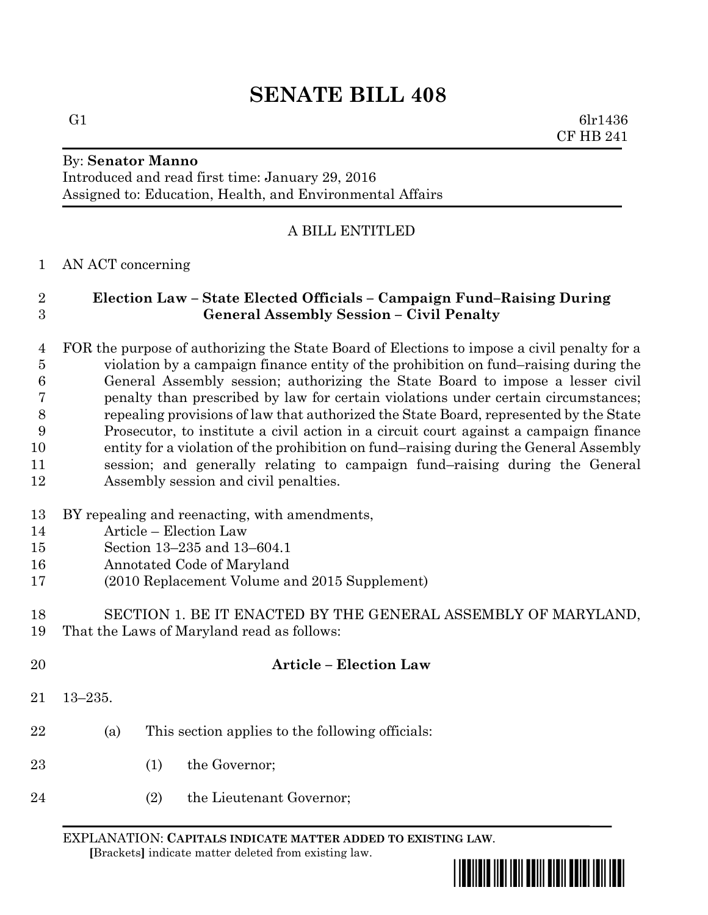G1 6lr1436 CF HB 241

## By: **Senator Manno**

Introduced and read first time: January 29, 2016 Assigned to: Education, Health, and Environmental Affairs

# A BILL ENTITLED

# AN ACT concerning

# **Election Law – State Elected Officials – Campaign Fund–Raising During General Assembly Session – Civil Penalty**

 FOR the purpose of authorizing the State Board of Elections to impose a civil penalty for a violation by a campaign finance entity of the prohibition on fund–raising during the General Assembly session; authorizing the State Board to impose a lesser civil penalty than prescribed by law for certain violations under certain circumstances; repealing provisions of law that authorized the State Board, represented by the State Prosecutor, to institute a civil action in a circuit court against a campaign finance entity for a violation of the prohibition on fund–raising during the General Assembly session; and generally relating to campaign fund–raising during the General Assembly session and civil penalties.

- BY repealing and reenacting, with amendments,
- Article Election Law
- Section 13–235 and 13–604.1
- Annotated Code of Maryland
- (2010 Replacement Volume and 2015 Supplement)

# SECTION 1. BE IT ENACTED BY THE GENERAL ASSEMBLY OF MARYLAND, That the Laws of Maryland read as follows:

- **Article – Election Law** 13–235. (a) This section applies to the following officials: 23 (1) the Governor:
- (2) the Lieutenant Governor;

EXPLANATION: **CAPITALS INDICATE MATTER ADDED TO EXISTING LAW**.  **[**Brackets**]** indicate matter deleted from existing law.

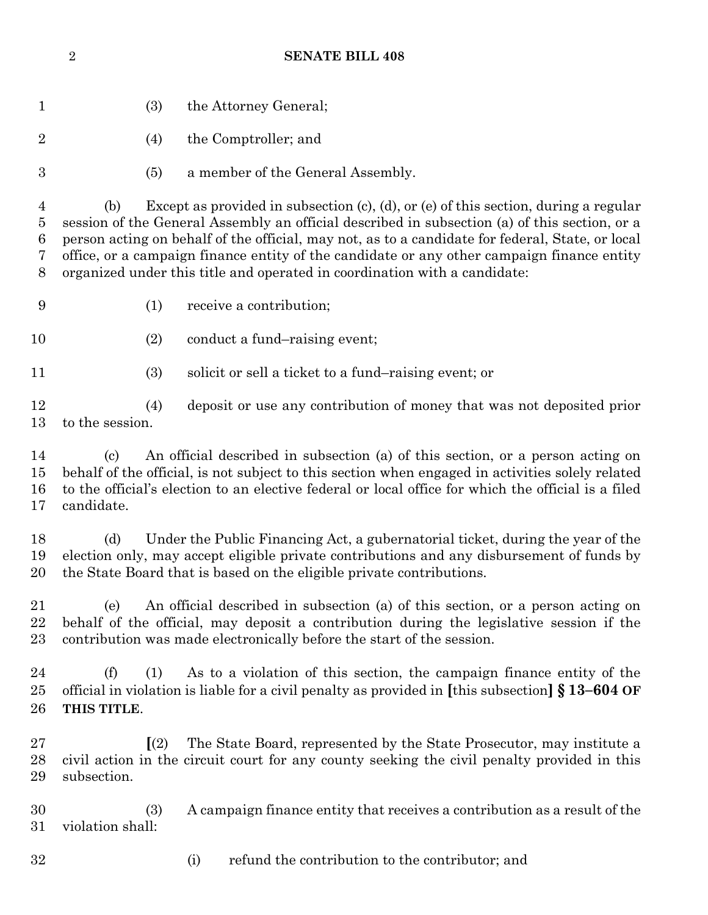| $\mathbf{1}$                       | (3)                                                                                                                                                                                                                                                                                                                                                                                                                                                                                | the Attorney General;                                                     |  |
|------------------------------------|------------------------------------------------------------------------------------------------------------------------------------------------------------------------------------------------------------------------------------------------------------------------------------------------------------------------------------------------------------------------------------------------------------------------------------------------------------------------------------|---------------------------------------------------------------------------|--|
| $\sqrt{2}$                         | (4)                                                                                                                                                                                                                                                                                                                                                                                                                                                                                | the Comptroller; and                                                      |  |
| 3                                  | (5)                                                                                                                                                                                                                                                                                                                                                                                                                                                                                | a member of the General Assembly.                                         |  |
| $\overline{4}$<br>5<br>6<br>7<br>8 | Except as provided in subsection $(c)$ , $(d)$ , or $(e)$ of this section, during a regular<br>(b)<br>session of the General Assembly an official described in subsection (a) of this section, or a<br>person acting on behalf of the official, may not, as to a candidate for federal, State, or local<br>office, or a campaign finance entity of the candidate or any other campaign finance entity<br>organized under this title and operated in coordination with a candidate: |                                                                           |  |
| $\boldsymbol{9}$                   | (1)                                                                                                                                                                                                                                                                                                                                                                                                                                                                                | receive a contribution;                                                   |  |
| 10                                 | (2)                                                                                                                                                                                                                                                                                                                                                                                                                                                                                | conduct a fund-raising event;                                             |  |
| 11                                 | (3)                                                                                                                                                                                                                                                                                                                                                                                                                                                                                | solicit or sell a ticket to a fund-raising event; or                      |  |
| 12<br>13                           | (4)<br>to the session.                                                                                                                                                                                                                                                                                                                                                                                                                                                             | deposit or use any contribution of money that was not deposited prior     |  |
| 14<br>15<br>16<br>17               | An official described in subsection (a) of this section, or a person acting on<br>$\left( \mathrm{c} \right)$<br>behalf of the official, is not subject to this section when engaged in activities solely related<br>to the official's election to an elective federal or local office for which the official is a filed<br>candidate.                                                                                                                                             |                                                                           |  |
| 18<br>19<br>20                     | Under the Public Financing Act, a gubernatorial ticket, during the year of the<br>(d)<br>election only, may accept eligible private contributions and any disbursement of funds by<br>the State Board that is based on the eligible private contributions.                                                                                                                                                                                                                         |                                                                           |  |
| 21<br>22<br>23                     | An official described in subsection (a) of this section, or a person acting on<br>(e)<br>behalf of the official, may deposit a contribution during the legislative session if the<br>contribution was made electronically before the start of the session.                                                                                                                                                                                                                         |                                                                           |  |
| 24<br>25<br>26                     | (f)<br>As to a violation of this section, the campaign finance entity of the<br>(1)<br>official in violation is liable for a civil penalty as provided in [this subsection] $\S 13-604$ OF<br>THIS TITLE.                                                                                                                                                                                                                                                                          |                                                                           |  |
| 27<br>28<br>29                     | The State Board, represented by the State Prosecutor, may institute a<br>$\left[ \frac{2}{2} \right]$<br>civil action in the circuit court for any county seeking the civil penalty provided in this<br>subsection.                                                                                                                                                                                                                                                                |                                                                           |  |
| 30<br>31                           | (3)<br>violation shall:                                                                                                                                                                                                                                                                                                                                                                                                                                                            | A campaign finance entity that receives a contribution as a result of the |  |
| 32                                 |                                                                                                                                                                                                                                                                                                                                                                                                                                                                                    | refund the contribution to the contributor; and<br>(i)                    |  |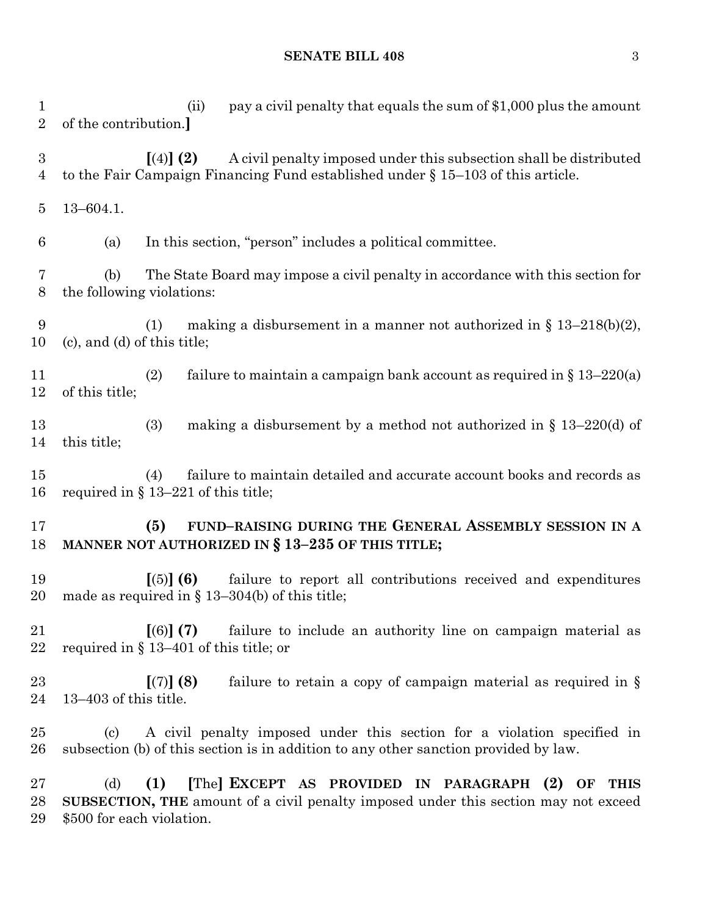#### **SENATE BILL 408** 3

 (ii) pay a civil penalty that equals the sum of \$1,000 plus the amount of the contribution.**] [**(4)**] (2)** A civil penalty imposed under this subsection shall be distributed to the Fair Campaign Financing Fund established under § 15–103 of this article. 13–604.1. (a) In this section, "person" includes a political committee. (b) The State Board may impose a civil penalty in accordance with this section for the following violations: 9 (1) making a disbursement in a manner not authorized in  $\S$  13–218(b)(2), (c), and (d) of this title; 11 (2) failure to maintain a campaign bank account as required in  $\S 13-220(a)$  of this title; (3) making a disbursement by a method not authorized in § 13–220(d) of this title; (4) failure to maintain detailed and accurate account books and records as required in § 13–221 of this title; **(5) FUND–RAISING DURING THE GENERAL ASSEMBLY SESSION IN A MANNER NOT AUTHORIZED IN § 13–235 OF THIS TITLE; [**(5)**] (6)** failure to report all contributions received and expenditures made as required in § 13–304(b) of this title; **[**(6)**] (7)** failure to include an authority line on campaign material as required in § 13–401 of this title; or **[**(7)**] (8)** failure to retain a copy of campaign material as required in § 13–403 of this title. (c) A civil penalty imposed under this section for a violation specified in subsection (b) of this section is in addition to any other sanction provided by law. (d) **(1) [**The**] EXCEPT AS PROVIDED IN PARAGRAPH (2) OF THIS SUBSECTION, THE** amount of a civil penalty imposed under this section may not exceed \$500 for each violation.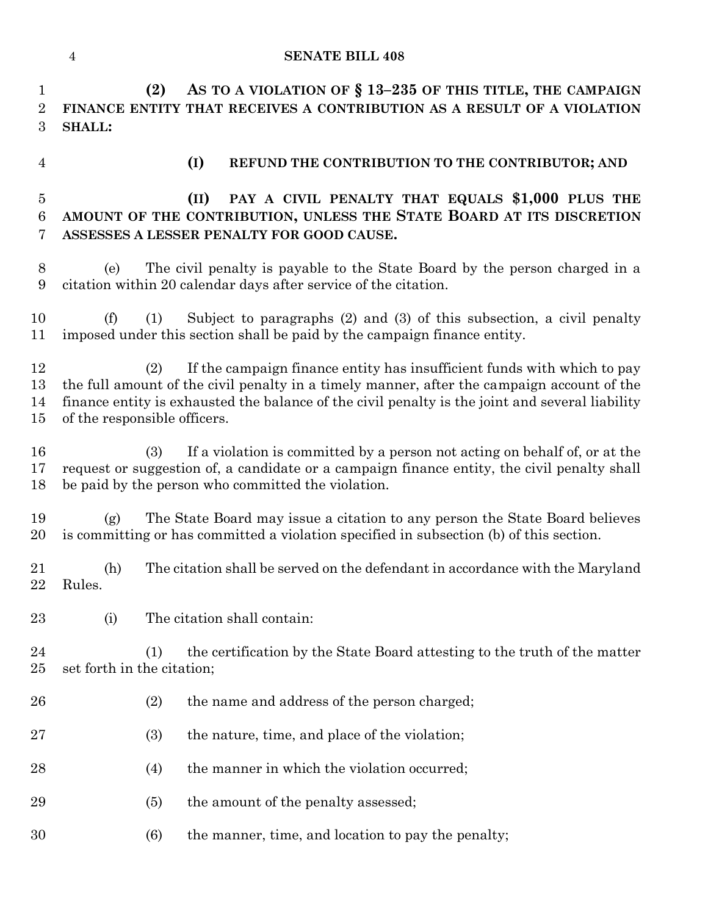**(2) AS TO A VIOLATION OF § 13–235 OF THIS TITLE, THE CAMPAIGN FINANCE ENTITY THAT RECEIVES A CONTRIBUTION AS A RESULT OF A VIOLATION SHALL: (I) REFUND THE CONTRIBUTION TO THE CONTRIBUTOR; AND (II) PAY A CIVIL PENALTY THAT EQUALS \$1,000 PLUS THE AMOUNT OF THE CONTRIBUTION, UNLESS THE STATE BOARD AT ITS DISCRETION ASSESSES A LESSER PENALTY FOR GOOD CAUSE.** (e) The civil penalty is payable to the State Board by the person charged in a citation within 20 calendar days after service of the citation.

 (f) (1) Subject to paragraphs (2) and (3) of this subsection, a civil penalty imposed under this section shall be paid by the campaign finance entity.

 (2) If the campaign finance entity has insufficient funds with which to pay the full amount of the civil penalty in a timely manner, after the campaign account of the finance entity is exhausted the balance of the civil penalty is the joint and several liability of the responsible officers.

 (3) If a violation is committed by a person not acting on behalf of, or at the request or suggestion of, a candidate or a campaign finance entity, the civil penalty shall be paid by the person who committed the violation.

 (g) The State Board may issue a citation to any person the State Board believes is committing or has committed a violation specified in subsection (b) of this section.

 (h) The citation shall be served on the defendant in accordance with the Maryland Rules.

(i) The citation shall contain:

 (1) the certification by the State Board attesting to the truth of the matter set forth in the citation;

- (2) the name and address of the person charged;
- (3) the nature, time, and place of the violation;
- 28 (4) the manner in which the violation occurred;
- 29 (5) the amount of the penalty assessed;
- (6) the manner, time, and location to pay the penalty;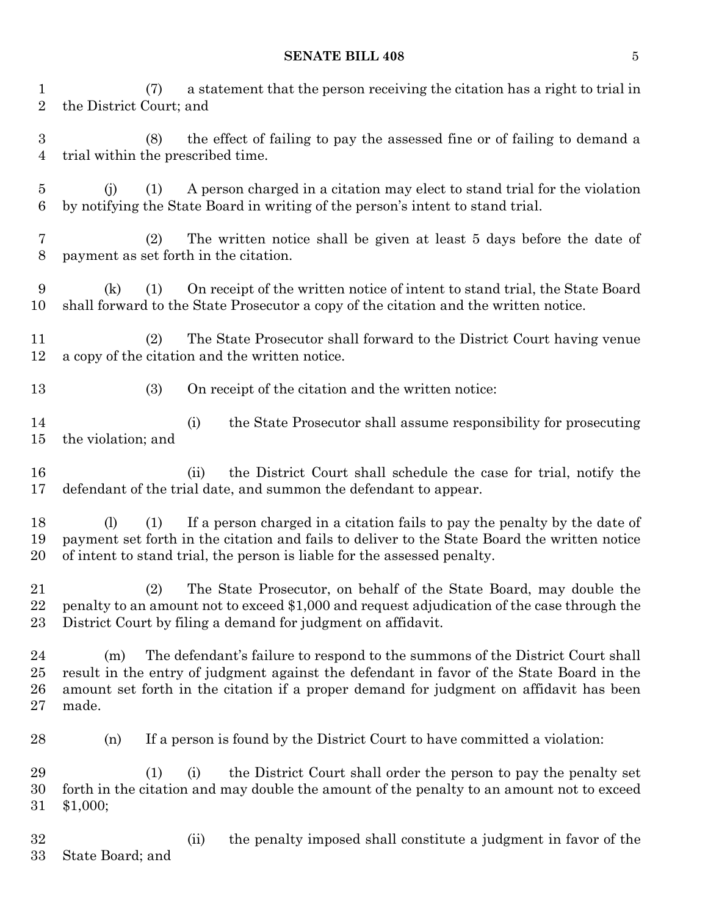## **SENATE BILL 408** 5

 (7) a statement that the person receiving the citation has a right to trial in the District Court; and

 (8) the effect of failing to pay the assessed fine or of failing to demand a trial within the prescribed time.

 (j) (1) A person charged in a citation may elect to stand trial for the violation by notifying the State Board in writing of the person's intent to stand trial.

 (2) The written notice shall be given at least 5 days before the date of payment as set forth in the citation.

 (k) (1) On receipt of the written notice of intent to stand trial, the State Board shall forward to the State Prosecutor a copy of the citation and the written notice.

 (2) The State Prosecutor shall forward to the District Court having venue a copy of the citation and the written notice.

13 (3) On receipt of the citation and the written notice:

 (i) the State Prosecutor shall assume responsibility for prosecuting the violation; and

 (ii) the District Court shall schedule the case for trial, notify the defendant of the trial date, and summon the defendant to appear.

 (l) (1) If a person charged in a citation fails to pay the penalty by the date of payment set forth in the citation and fails to deliver to the State Board the written notice of intent to stand trial, the person is liable for the assessed penalty.

 (2) The State Prosecutor, on behalf of the State Board, may double the penalty to an amount not to exceed \$1,000 and request adjudication of the case through the District Court by filing a demand for judgment on affidavit.

 (m) The defendant's failure to respond to the summons of the District Court shall result in the entry of judgment against the defendant in favor of the State Board in the amount set forth in the citation if a proper demand for judgment on affidavit has been made.

(n) If a person is found by the District Court to have committed a violation:

 (1) (i) the District Court shall order the person to pay the penalty set forth in the citation and may double the amount of the penalty to an amount not to exceed \$1,000;

 (ii) the penalty imposed shall constitute a judgment in favor of the State Board; and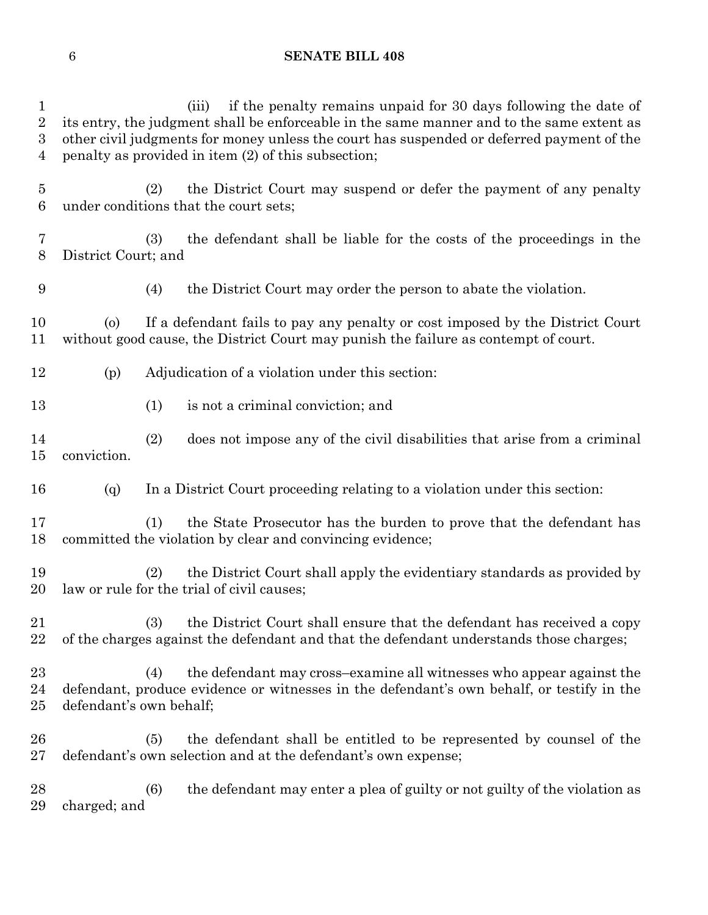| $\mathbf{1}$<br>$\overline{2}$<br>$\boldsymbol{3}$<br>$\overline{4}$ |                         | if the penalty remains unpaid for 30 days following the date of<br>(iii)<br>its entry, the judgment shall be enforceable in the same manner and to the same extent as<br>other civil judgments for money unless the court has suspended or deferred payment of the<br>penalty as provided in item (2) of this subsection; |
|----------------------------------------------------------------------|-------------------------|---------------------------------------------------------------------------------------------------------------------------------------------------------------------------------------------------------------------------------------------------------------------------------------------------------------------------|
| $\bf 5$<br>6                                                         |                         | the District Court may suspend or defer the payment of any penalty<br>(2)<br>under conditions that the court sets;                                                                                                                                                                                                        |
| 7<br>8                                                               | District Court; and     | the defendant shall be liable for the costs of the proceedings in the<br>(3)                                                                                                                                                                                                                                              |
| 9                                                                    |                         | the District Court may order the person to abate the violation.<br>(4)                                                                                                                                                                                                                                                    |
| 10<br>11                                                             | $\circ$                 | If a defendant fails to pay any penalty or cost imposed by the District Court<br>without good cause, the District Court may punish the failure as contempt of court.                                                                                                                                                      |
| 12                                                                   | (p)                     | Adjudication of a violation under this section:                                                                                                                                                                                                                                                                           |
| 13                                                                   |                         | (1)<br>is not a criminal conviction; and                                                                                                                                                                                                                                                                                  |
| 14<br>$15\,$                                                         | conviction.             | does not impose any of the civil disabilities that arise from a criminal<br>(2)                                                                                                                                                                                                                                           |
| 16                                                                   | (q)                     | In a District Court proceeding relating to a violation under this section:                                                                                                                                                                                                                                                |
| 17<br>18                                                             |                         | the State Prosecutor has the burden to prove that the defendant has<br>(1)<br>committed the violation by clear and convincing evidence;                                                                                                                                                                                   |
| 19<br>20                                                             |                         | the District Court shall apply the evidentiary standards as provided by<br>(2)<br>law or rule for the trial of civil causes;                                                                                                                                                                                              |
| 21<br>22                                                             |                         | the District Court shall ensure that the defendant has received a copy<br>(3)<br>of the charges against the defendant and that the defendant understands those charges;                                                                                                                                                   |
| 23<br>24<br>25                                                       | defendant's own behalf; | the defendant may cross-examine all witnesses who appear against the<br>(4)<br>defendant, produce evidence or witnesses in the defendant's own behalf, or testify in the                                                                                                                                                  |
| $26\,$<br>$27\,$                                                     | (5)                     | the defendant shall be entitled to be represented by counsel of the<br>defendant's own selection and at the defendant's own expense;                                                                                                                                                                                      |
| 28                                                                   |                         | the defendant may enter a plea of guilty or not guilty of the violation as<br>(6)                                                                                                                                                                                                                                         |

charged; and